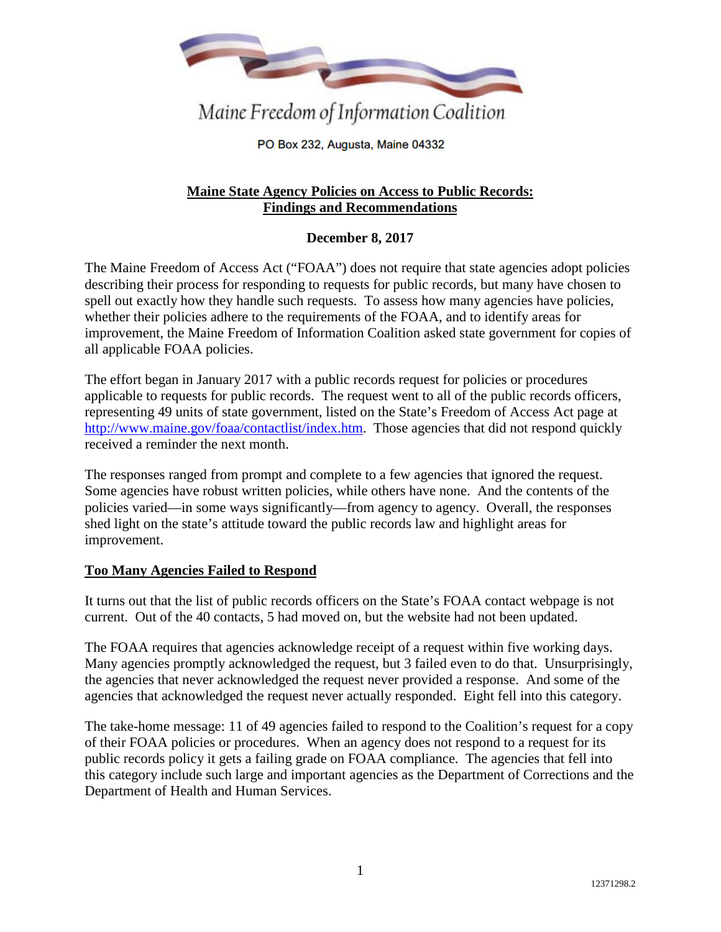

Maine Freedom of Information Coalition

PO Box 232, Augusta, Maine 04332

# **Maine State Agency Policies on Access to Public Records: Findings and Recommendations**

## **December 8, 2017**

The Maine Freedom of Access Act ("FOAA") does not require that state agencies adopt policies describing their process for responding to requests for public records, but many have chosen to spell out exactly how they handle such requests. To assess how many agencies have policies, whether their policies adhere to the requirements of the FOAA, and to identify areas for improvement, the Maine Freedom of Information Coalition asked state government for copies of all applicable FOAA policies.

The effort began in January 2017 with a public records request for policies or procedures applicable to requests for public records. The request went to all of the public records officers, representing 49 units of state government, listed on the State's Freedom of Access Act page at http://www.maine.gov/foaa/contactlist/index.htm. Those agencies that did not respond quickly received a reminder the next month.

The responses ranged from prompt and complete to a few agencies that ignored the request. Some agencies have robust written policies, while others have none. And the contents of the policies varied—in some ways significantly—from agency to agency. Overall, the responses shed light on the state's attitude toward the public records law and highlight areas for improvement.

## **Too Many Agencies Failed to Respond**

It turns out that the list of public records officers on the State's FOAA contact webpage is not current. Out of the 40 contacts, 5 had moved on, but the website had not been updated.

The FOAA requires that agencies acknowledge receipt of a request within five working days. Many agencies promptly acknowledged the request, but 3 failed even to do that. Unsurprisingly, the agencies that never acknowledged the request never provided a response. And some of the agencies that acknowledged the request never actually responded. Eight fell into this category.

The take-home message: 11 of 49 agencies failed to respond to the Coalition's request for a copy of their FOAA policies or procedures. When an agency does not respond to a request for its public records policy it gets a failing grade on FOAA compliance. The agencies that fell into this category include such large and important agencies as the Department of Corrections and the Department of Health and Human Services.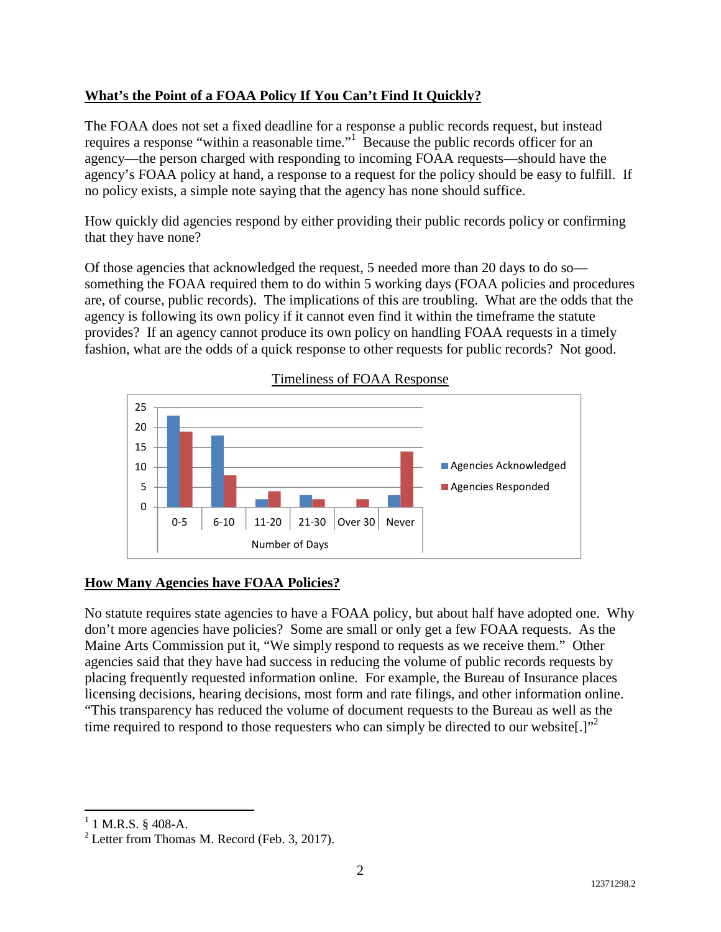# **What's the Point of a FOAA Policy If You Can't Find It Quickly?**

The FOAA does not set a fixed deadline for a response a public records request, but instead requires a response "within a reasonable time."<sup>1</sup> Because the public records officer for an agency—the person charged with responding to incoming FOAA requests—should have the agency's FOAA policy at hand, a response to a request for the policy should be easy to fulfill. If no policy exists, a simple note saying that the agency has none should suffice.

How quickly did agencies respond by either providing their public records policy or confirming that they have none?

Of those agencies that acknowledged the request, 5 needed more than 20 days to do so something the FOAA required them to do within 5 working days (FOAA policies and procedures are, of course, public records). The implications of this are troubling. What are the odds that the agency is following its own policy if it cannot even find it within the timeframe the statute provides? If an agency cannot produce its own policy on handling FOAA requests in a timely fashion, what are the odds of a quick response to other requests for public records? Not good.



### Timeliness of FOAA Response

### **How Many Agencies have FOAA Policies?**

No statute requires state agencies to have a FOAA policy, but about half have adopted one. Why don't more agencies have policies? Some are small or only get a few FOAA requests. As the Maine Arts Commission put it, "We simply respond to requests as we receive them." Other agencies said that they have had success in reducing the volume of public records requests by placing frequently requested information online. For example, the Bureau of Insurance places licensing decisions, hearing decisions, most form and rate filings, and other information online. "This transparency has reduced the volume of document requests to the Bureau as well as the time required to respond to those requesters who can simply be directed to our website.  $"$ 

 $1$  1 M.R.S. § 408-A.

<sup>&</sup>lt;sup>2</sup> Letter from Thomas M. Record (Feb. 3, 2017).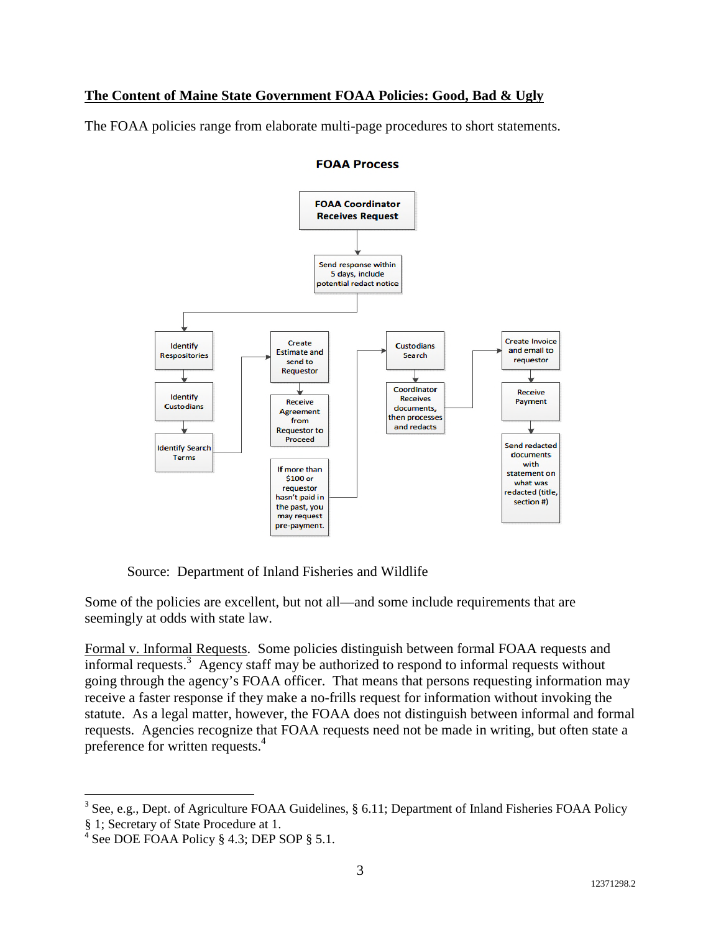# **The Content of Maine State Government FOAA Policies: Good, Bad & Ugly**

The FOAA policies range from elaborate multi-page procedures to short statements.



#### **FOAA Process**

Source: Department of Inland Fisheries and Wildlife

Some of the policies are excellent, but not all—and some include requirements that are seemingly at odds with state law.

Formal v. Informal Requests. Some policies distinguish between formal FOAA requests and informal requests.<sup>3</sup> Agency staff may be authorized to respond to informal requests without going through the agency's FOAA officer. That means that persons requesting information may receive a faster response if they make a no-frills request for information without invoking the statute. As a legal matter, however, the FOAA does not distinguish between informal and formal requests. Agencies recognize that FOAA requests need not be made in writing, but often state a preference for written requests.<sup>4</sup>

<sup>&</sup>lt;sup>3</sup> See, e.g., Dept. of Agriculture FOAA Guidelines, § 6.11; Department of Inland Fisheries FOAA Policy § 1; Secretary of State Procedure at 1.

<sup>&</sup>lt;sup>4</sup> See DOE FOAA Policy § 4.3; DEP SOP § 5.1.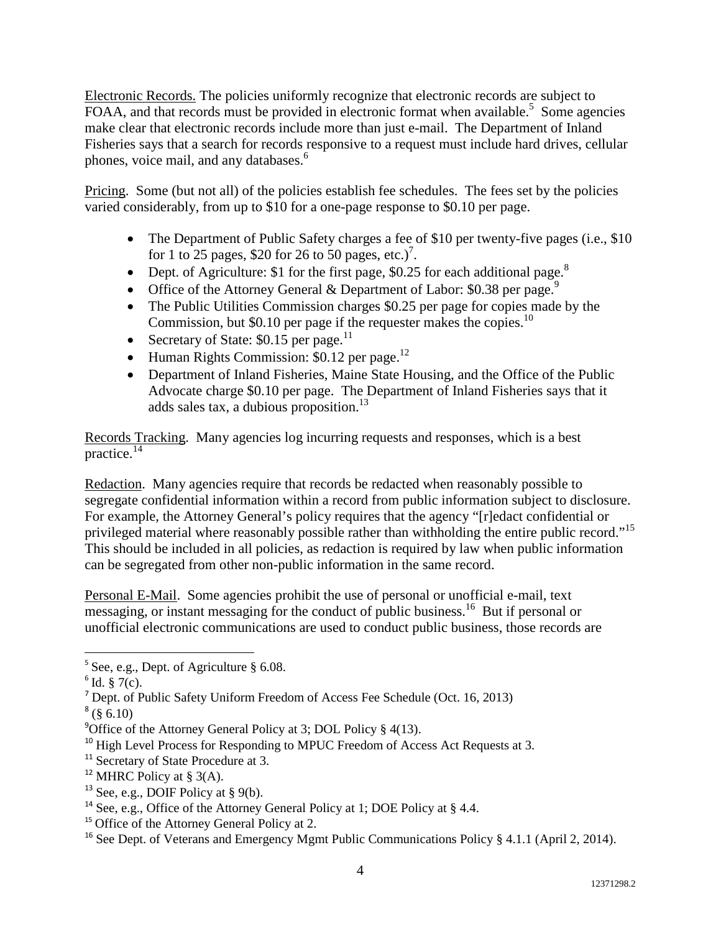Electronic Records. The policies uniformly recognize that electronic records are subject to FOAA, and that records must be provided in electronic format when available.<sup>5</sup> Some agencies make clear that electronic records include more than just e-mail. The Department of Inland Fisheries says that a search for records responsive to a request must include hard drives, cellular phones, voice mail, and any databases.<sup>6</sup>

Pricing. Some (but not all) of the policies establish fee schedules. The fees set by the policies varied considerably, from up to \$10 for a one-page response to \$0.10 per page.

- The Department of Public Safety charges a fee of \$10 per twenty-five pages (i.e., \$10) for 1 to 25 pages, \$20 for 26 to 50 pages, etc.)<sup>7</sup>.
- Dept. of Agriculture: \$1 for the first page, \$0.25 for each additional page.<sup>8</sup>
- Office of the Attorney General & Department of Labor:  $$0.38$  per page.<sup>9</sup>
- The Public Utilities Commission charges \$0.25 per page for copies made by the Commission, but \$0.10 per page if the requester makes the copies.<sup>10</sup>
- Secretary of State:  $$0.15$  per page.<sup>11</sup>
- Human Rights Commission:  $$0.12$  per page.<sup>12</sup>
- Department of Inland Fisheries, Maine State Housing, and the Office of the Public Advocate charge \$0.10 per page. The Department of Inland Fisheries says that it adds sales tax, a dubious proposition. $^{13}$

Records Tracking. Many agencies log incurring requests and responses, which is a best practice.<sup>14</sup>

Redaction. Many agencies require that records be redacted when reasonably possible to segregate confidential information within a record from public information subject to disclosure. For example, the Attorney General's policy requires that the agency "[r]edact confidential or privileged material where reasonably possible rather than withholding the entire public record."<sup>15</sup> This should be included in all policies, as redaction is required by law when public information can be segregated from other non-public information in the same record.

Personal E-Mail. Some agencies prohibit the use of personal or unofficial e-mail, text messaging, or instant messaging for the conduct of public business.<sup>16</sup> But if personal or unofficial electronic communications are used to conduct public business, those records are

<sup>5</sup> See, e.g., Dept. of Agriculture § 6.08.

 $6$  Id. § 7(c).

<sup>7</sup> Dept. of Public Safety Uniform Freedom of Access Fee Schedule (Oct. 16, 2013)

 $^8$  (§ 6.10)

<sup>&</sup>lt;sup>9</sup>Office of the Attorney General Policy at 3; DOL Policy  $\S$  4(13).

<sup>&</sup>lt;sup>10</sup> High Level Process for Responding to MPUC Freedom of Access Act Requests at 3.

<sup>&</sup>lt;sup>11</sup> Secretary of State Procedure at 3.

<sup>&</sup>lt;sup>12</sup> MHRC Policy at § 3(A).

<sup>&</sup>lt;sup>13</sup> See, e.g., DOIF Policy at  $\S$  9(b).

<sup>&</sup>lt;sup>14</sup> See, e.g., Office of the Attorney General Policy at 1; DOE Policy at § 4.4.

<sup>&</sup>lt;sup>15</sup> Office of the Attorney General Policy at 2.

<sup>&</sup>lt;sup>16</sup> See Dept. of Veterans and Emergency Mgmt Public Communications Policy § 4.1.1 (April 2, 2014).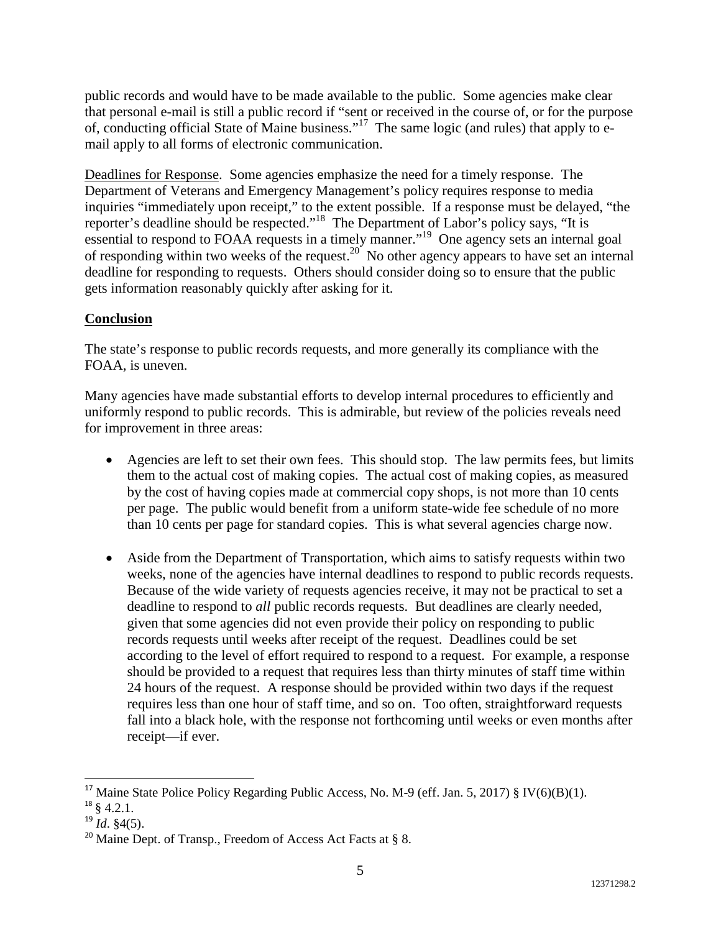public records and would have to be made available to the public. Some agencies make clear that personal e-mail is still a public record if "sent or received in the course of, or for the purpose of, conducting official State of Maine business."<sup>17</sup> The same logic (and rules) that apply to email apply to all forms of electronic communication.

Deadlines for Response. Some agencies emphasize the need for a timely response. The Department of Veterans and Emergency Management's policy requires response to media inquiries "immediately upon receipt," to the extent possible. If a response must be delayed, "the reporter's deadline should be respected."<sup>18</sup> The Department of Labor's policy says, "It is essential to respond to FOAA requests in a timely manner."<sup>19</sup> One agency sets an internal goal of responding within two weeks of the request.<sup>20</sup> No other agency appears to have set an internal deadline for responding to requests. Others should consider doing so to ensure that the public gets information reasonably quickly after asking for it.

## **Conclusion**

The state's response to public records requests, and more generally its compliance with the FOAA, is uneven.

Many agencies have made substantial efforts to develop internal procedures to efficiently and uniformly respond to public records. This is admirable, but review of the policies reveals need for improvement in three areas:

- Agencies are left to set their own fees. This should stop. The law permits fees, but limits them to the actual cost of making copies. The actual cost of making copies, as measured by the cost of having copies made at commercial copy shops, is not more than 10 cents per page. The public would benefit from a uniform state-wide fee schedule of no more than 10 cents per page for standard copies. This is what several agencies charge now.
- Aside from the Department of Transportation, which aims to satisfy requests within two weeks, none of the agencies have internal deadlines to respond to public records requests. Because of the wide variety of requests agencies receive, it may not be practical to set a deadline to respond to *all* public records requests. But deadlines are clearly needed, given that some agencies did not even provide their policy on responding to public records requests until weeks after receipt of the request. Deadlines could be set according to the level of effort required to respond to a request. For example, a response should be provided to a request that requires less than thirty minutes of staff time within 24 hours of the request. A response should be provided within two days if the request requires less than one hour of staff time, and so on. Too often, straightforward requests fall into a black hole, with the response not forthcoming until weeks or even months after receipt—if ever.

<sup>&</sup>lt;sup>17</sup> Maine State Police Policy Regarding Public Access, No. M-9 (eff. Jan. 5, 2017) § IV(6)(B)(1).  $18 \text{ } 4.2.1.$ 

 $^{19}$  *Id.* §4(5).

<sup>&</sup>lt;sup>20</sup> Maine Dept. of Transp., Freedom of Access Act Facts at  $\S$  8.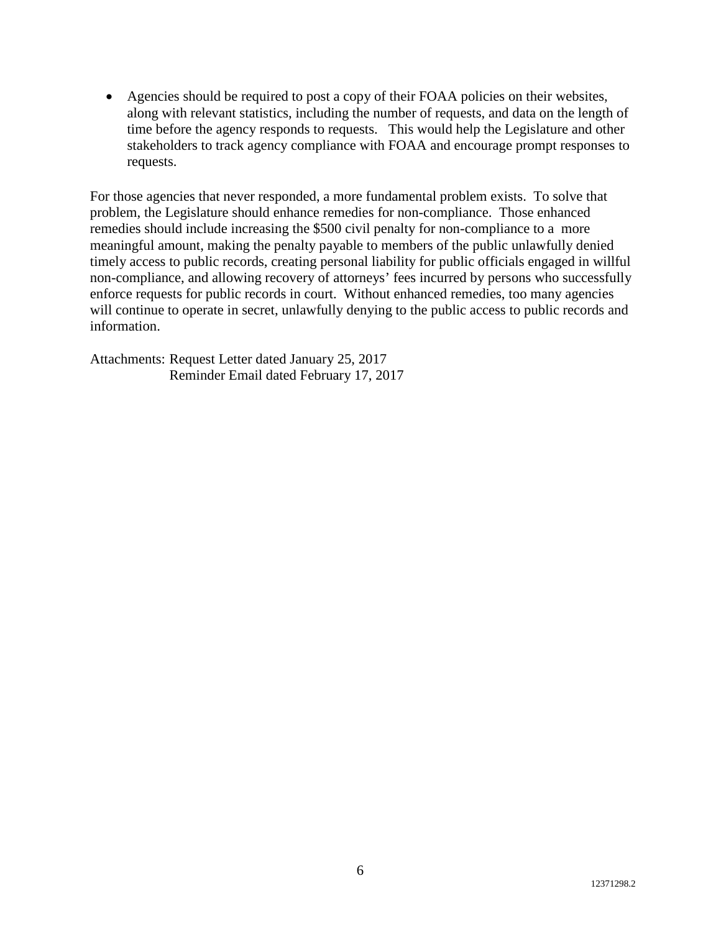• Agencies should be required to post a copy of their FOAA policies on their websites, along with relevant statistics, including the number of requests, and data on the length of time before the agency responds to requests. This would help the Legislature and other stakeholders to track agency compliance with FOAA and encourage prompt responses to requests.

For those agencies that never responded, a more fundamental problem exists. To solve that problem, the Legislature should enhance remedies for non-compliance. Those enhanced remedies should include increasing the \$500 civil penalty for non-compliance to a more meaningful amount, making the penalty payable to members of the public unlawfully denied timely access to public records, creating personal liability for public officials engaged in willful non-compliance, and allowing recovery of attorneys' fees incurred by persons who successfully enforce requests for public records in court. Without enhanced remedies, too many agencies will continue to operate in secret, unlawfully denying to the public access to public records and information.

Attachments: Request Letter dated January 25, 2017 Reminder Email dated February 17, 2017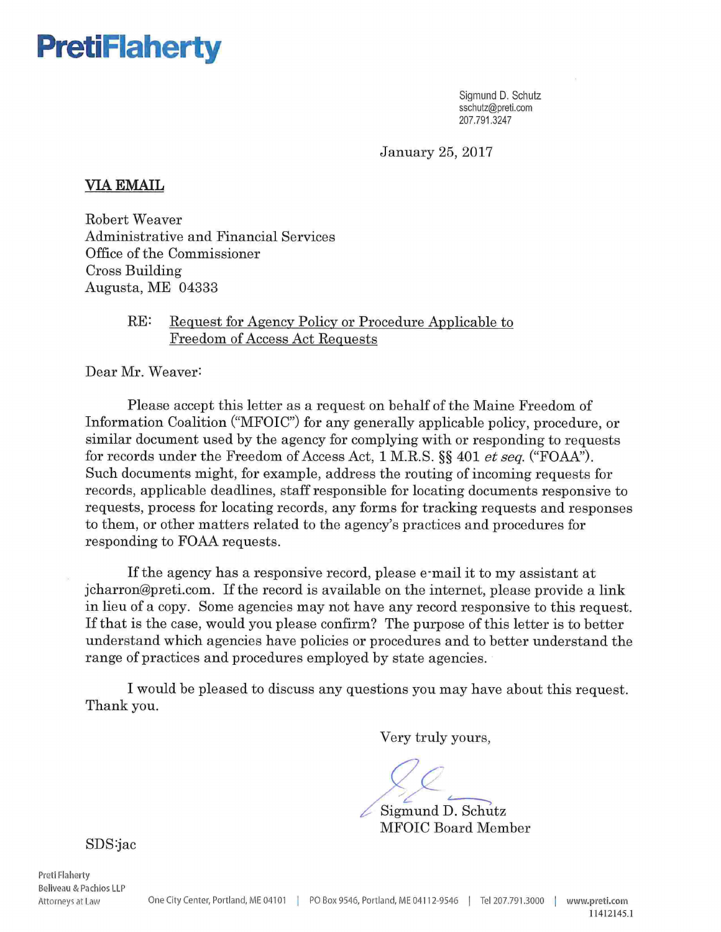

Sigmund D. Schutz sschutz@preti.com 207.791.3247

January 25, 2017

### VIAEMAIL

Robert Weaver Administrative and Financial Services Office of the Commissioner Cross Building Augusta, ME 04333

## RE: Request for Agency Policy or Procedure Applicable to Freedom of Access Act Requests

Dear Mr. Weaver:

Please accept this letter as a request on behalf of the Maine Freedom of Information Coalition ("MFOIC") for any generally applicable policy, procedure, or similar document used by the agency for complying with or responding to requests for records under the Freedom of Access Act, 1 M.R.S. §§ 401 et seq. ("FOAA"). Such documents might, for example, address the routing of incoming requests for records, applicable deadlines, staff responsible for locating documents responsive to requests, process for locating records, any forms for tracking requests and responses to them, or other matters related to the agency's practices and procedures for responding to FOAA requests.

If the agency has a responsive record, please e-mail it to my assistant at jcharron@preti.com. If the record is available on the internet, please provide a link in lieu of a copy. Some agencies may not have any record responsive to this request. If that is the case, would you please confirm? The purpose of this letter is to better understand which agencies have policies or procedures and to better understand the range of practices and procedures employed by state agencies.

I would be pleased to discuss any questions you may have about this request. Thank you.

Very truly yours,

Sigmund D. Schutz MFOIC Board Member

SDS:jac

Preti Flaherty

Beliveau & Pa chios LLP Attorneys at Law One City Center, Portland, ME 04101 | PO Box 9546, Portland, ME 04112-9546 | Tel 207.791.3000 | www.preti.com